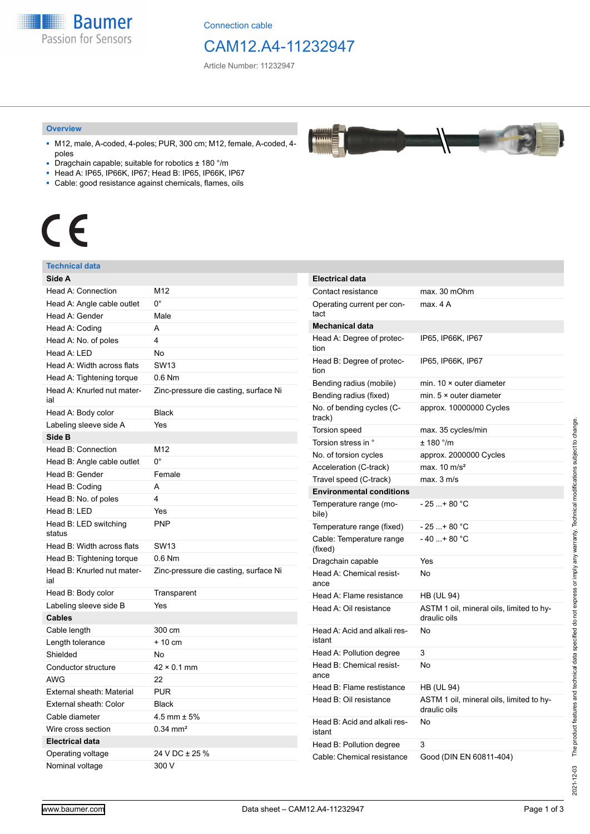**Baumer** Passion for Sensors

Connection cable

# CAM12.A4-11232947

Article Number: 11232947

#### **Overview**

- M12, male, A-coded, 4-poles; PUR, 300 cm; M12, female, A-coded, 4 poles
- Dragchain capable; suitable for robotics ± 180 °/m
- Head A: IP65, IP66K, IP67; Head B: IP65, IP66K, IP67
- Cable: good resistance against chemicals, flames, oils

# $\epsilon$

#### **Technical data**

| Side A                            |                                       |
|-----------------------------------|---------------------------------------|
| Head A: Connection                | M12                                   |
| Head A: Angle cable outlet        | 0°                                    |
| Head A: Gender                    | Male                                  |
| Head A: Coding                    | A                                     |
| Head A: No. of poles              | 4                                     |
| Head A: LED                       | No                                    |
| Head A: Width across flats        | <b>SW13</b>                           |
| Head A: Tightening torque         | $0.6$ Nm                              |
| Head A: Knurled nut mater-<br>ial | Zinc-pressure die casting, surface Ni |
| Head A: Body color                | <b>Black</b>                          |
| Labeling sleeve side A            | Yes                                   |
| Side B                            |                                       |
| Head B: Connection                | M12                                   |
| Head B: Angle cable outlet        | 0°                                    |
| Head B: Gender                    | Female                                |
| Head B: Coding                    | А                                     |
| Head B: No. of poles              | 4                                     |
| Head B: LED                       | Yes                                   |
| Head B: LED switching<br>status   | <b>PNP</b>                            |
| Head B: Width across flats        | <b>SW13</b>                           |
| Head B: Tightening torque         | $0.6$ Nm                              |
| Head B: Knurled nut mater-<br>ial | Zinc-pressure die casting, surface Ni |
| Head B: Body color                | Transparent                           |
| Labeling sleeve side B            | Yes                                   |
| <b>Cables</b>                     |                                       |
| Cable length                      | 300 cm                                |
| Length tolerance                  | $+10$ cm                              |
| Shielded                          | No                                    |
| Conductor structure               | $42 \times 0.1$ mm                    |
| <b>AWG</b>                        | 22                                    |
| External sheath: Material         | <b>PUR</b>                            |
| External sheath: Color            | <b>Black</b>                          |
| Cable diameter                    | 4.5 mm $\pm$ 5%                       |
| Wire cross section                | $0.34 \text{ mm}^2$                   |
| <b>Electrical data</b>            |                                       |
| Operating voltage                 | 24 V DC ± 25 %                        |
| Nominal voltage                   | 300 V                                 |

| <b>Electrical data</b>                 |                                                          |
|----------------------------------------|----------------------------------------------------------|
| Contact resistance                     | max. 30 mOhm                                             |
| Operating current per con-<br>tact     | max. 4 A                                                 |
| <b>Mechanical data</b>                 |                                                          |
| Head A: Degree of protec-<br>tion      | IP65, IP66K, IP67                                        |
| Head B: Degree of protec-<br>tion      | IP65, IP66K, IP67                                        |
| Bending radius (mobile)                | min. $10 \times$ outer diameter                          |
| Bending radius (fixed)                 | min. $5 \times$ outer diameter                           |
| No. of bending cycles (C-<br>track)    | approx. 10000000 Cycles                                  |
| <b>Torsion speed</b>                   | max. 35 cycles/min                                       |
| Torsion stress in °                    | ± 180 °/m                                                |
| No. of torsion cycles                  | approx. 2000000 Cycles                                   |
| Acceleration (C-track)                 | max. $10 \text{ m/s}^2$                                  |
| Travel speed (C-track)                 | max. 3 m/s                                               |
| <b>Environmental conditions</b>        |                                                          |
| Temperature range (mo-<br>bile)        | - 25 + 80 °C                                             |
| Temperature range (fixed)              | - 25 + 80 °C                                             |
| Cable: Temperature range<br>(fixed)    | - 40 + 80 °C                                             |
| Dragchain capable                      | Yes                                                      |
| Head A: Chemical resist-<br>ance       | No                                                       |
| Head A: Flame resistance               | <b>HB (UL 94)</b>                                        |
| Head A: Oil resistance                 | ASTM 1 oil, mineral oils, limited to hy-<br>draulic oils |
| Head A: Acid and alkali res-<br>istant | No                                                       |
| Head A: Pollution degree               | 3                                                        |
| Head B: Chemical resist-<br>ance       | No                                                       |
| Head B: Flame restistance              | HB (UL 94)                                               |
| Head B: Oil resistance                 | ASTM 1 oil, mineral oils, limited to hy-<br>draulic oils |
| Head B: Acid and alkali res-<br>istant | No                                                       |
| Head B: Pollution degree               | 3                                                        |
| Cable: Chemical resistance             | Good (DIN EN 60811-404)                                  |

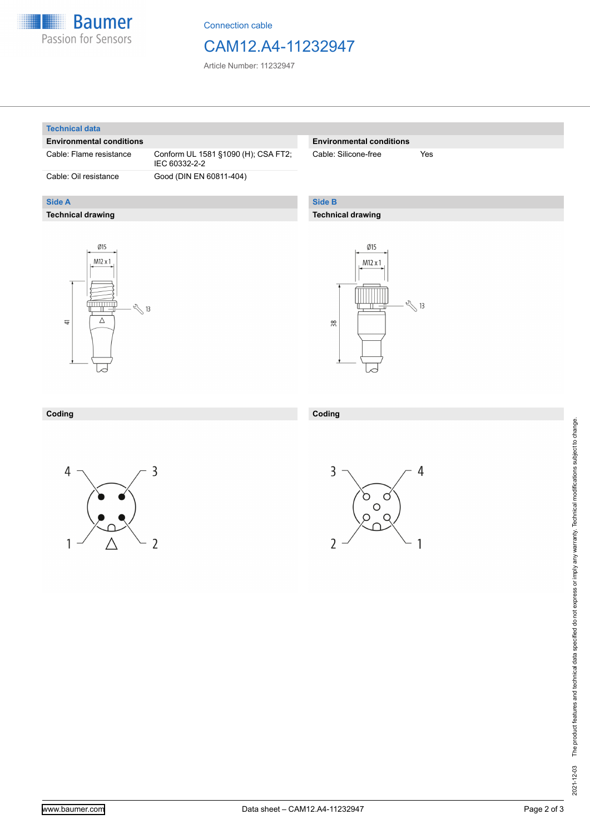

Connection cable

### CAM12.A4-11232947

Article Number: 11232947

#### **Technical data**

**Side A**

#### **Environmental conditions**

Cable: Flame resistance Conform UL 1581 §1090 (H); CSA FT2;

**Technical drawing**

IEC 60332-2-2 Cable: Oil resistance Good (DIN EN 60811-404)

#### **Environmental conditions**

Cable: Silicone-free Yes

#### **Side B**

**Coding**

#### **Technical drawing**





#### **Coding**